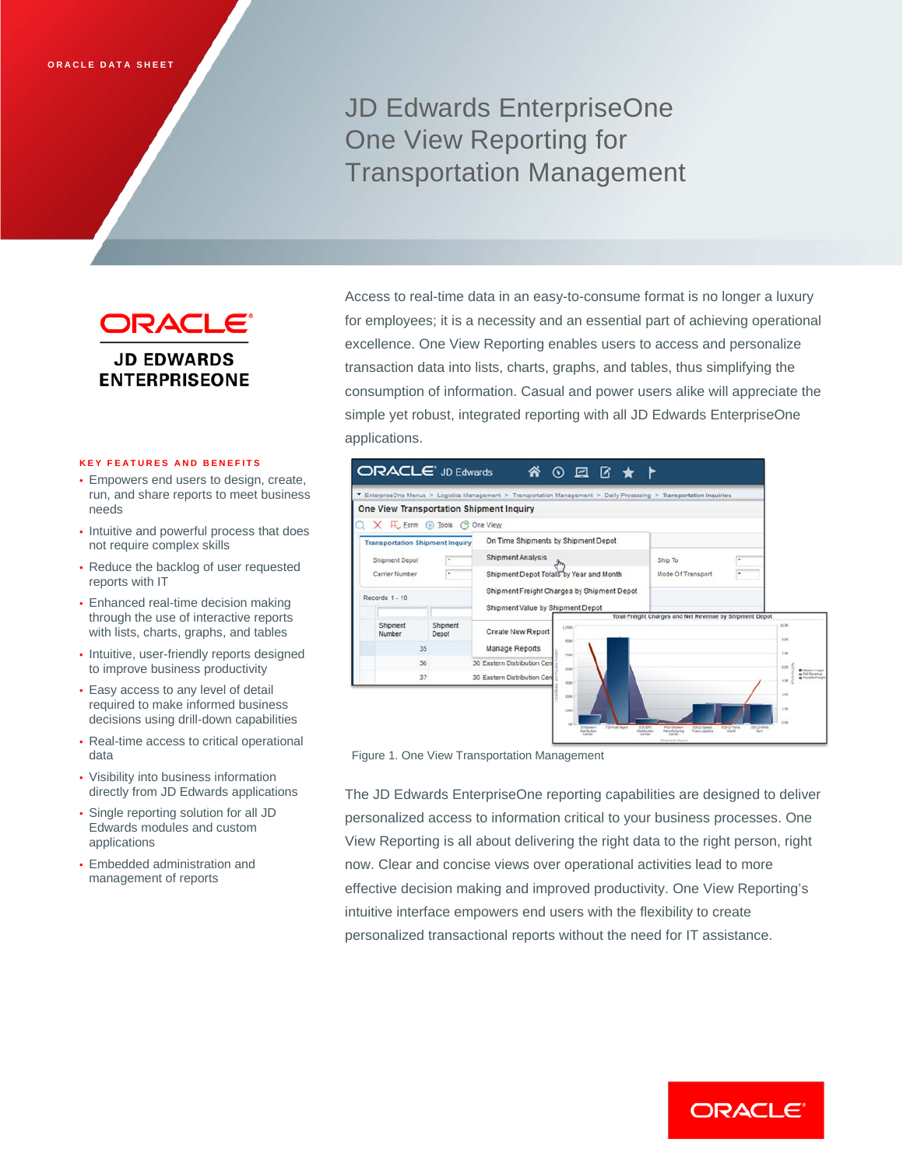# JD Edwards EnterpriseOne One View Reporting for Transportation Management

ORACLE® **JD EDWARDS ENTERPRISEONE** 

#### **KEY FEATURES AND BENEFITS**

- Empowers end users to design, create, run, and share reports to meet business needs
- Intuitive and powerful process that does not require complex skills
- Reduce the backlog of user requested reports with IT
- Enhanced real-time decision making through the use of interactive reports with lists, charts, graphs, and tables
- Intuitive, user-friendly reports designed to improve business productivity
- Easy access to any level of detail required to make informed business decisions using drill-down capabilities
- Real-time access to critical operational data
- Visibility into business information directly from JD Edwards applications
- Single reporting solution for all JD Edwards modules and custom applications
- Embedded administration and management of reports

Access to real-time data in an easy-to-consume format is no longer a luxury for employees; it is a necessity and an essential part of achieving operational excellence. One View Reporting enables users to access and personalize transaction data into lists, charts, graphs, and tables, thus simplifying the consumption of information. Casual and power users alike will appreciate the simple yet robust, integrated reporting with all JD Edwards EnterpriseOne applications.



Figure 1. One View Transportation Management

The JD Edwards EnterpriseOne reporting capabilities are designed to deliver personalized access to information critical to your business processes. One View Reporting is all about delivering the right data to the right person, right now. Clear and concise views over operational activities lead to more effective decision making and improved productivity. One View Reporting's intuitive interface empowers end users with the flexibility to create personalized transactional reports without the need for IT assistance.